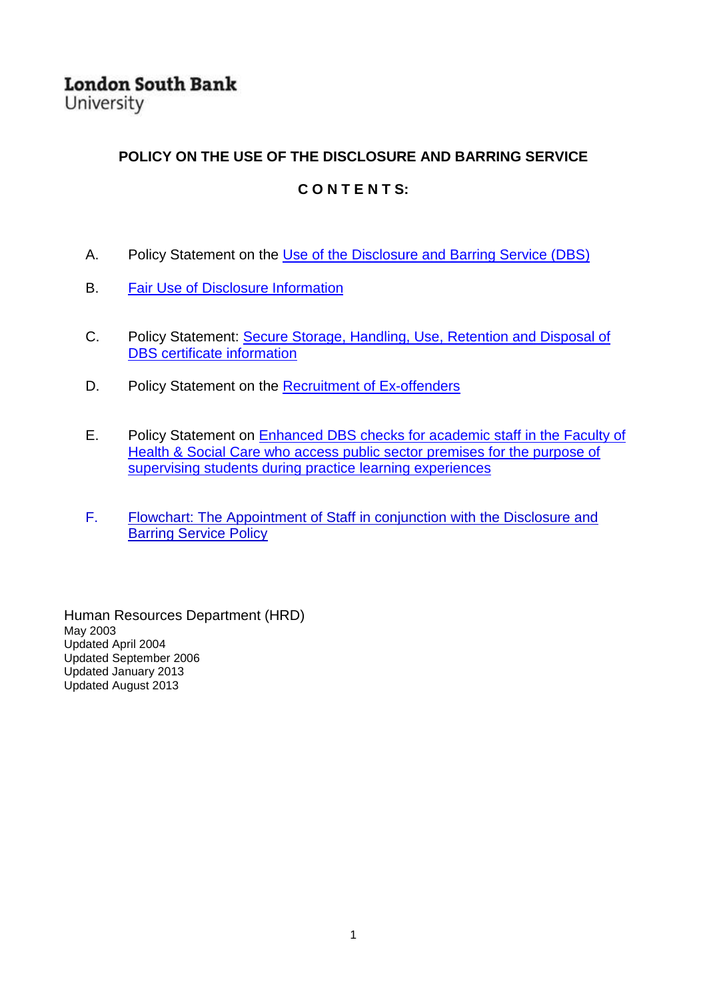**London South Bank** University

#### **POLICY ON THE USE OF THE DISCLOSURE AND BARRING SERVICE**

#### **C O N T E N T S:**

- A. Policy Statement on the [Use of the Disclosure and Barring Service \(DBS\)](#page-1-0)
- B. [Fair Use of Disclosure Information](#page-2-0)
- C. Policy Statement: [Secure Storage, Handling, Use, Retention and Disposal of](#page-7-0)  [DBS certificate information](#page-7-0)
- D. Policy Statement on the [Recruitment of Ex-offenders](#page-9-0)
- E. Policy Statement on [Enhanced DBS checks for academic staff in the Faculty of](#page-12-0)  [Health & Social Care who access public sector premises for the purpose of](#page-12-0)  [supervising students during practice learning experiences](#page-12-0)
- F. [Flowchart: The Appointment of Staff in conjunction with the Disclosure and](#page-13-0)  [Barring Service Policy](#page-13-0)

Human Resources Department (HRD) May 2003 Updated April 2004 Updated September 2006 Updated January 2013 Updated August 2013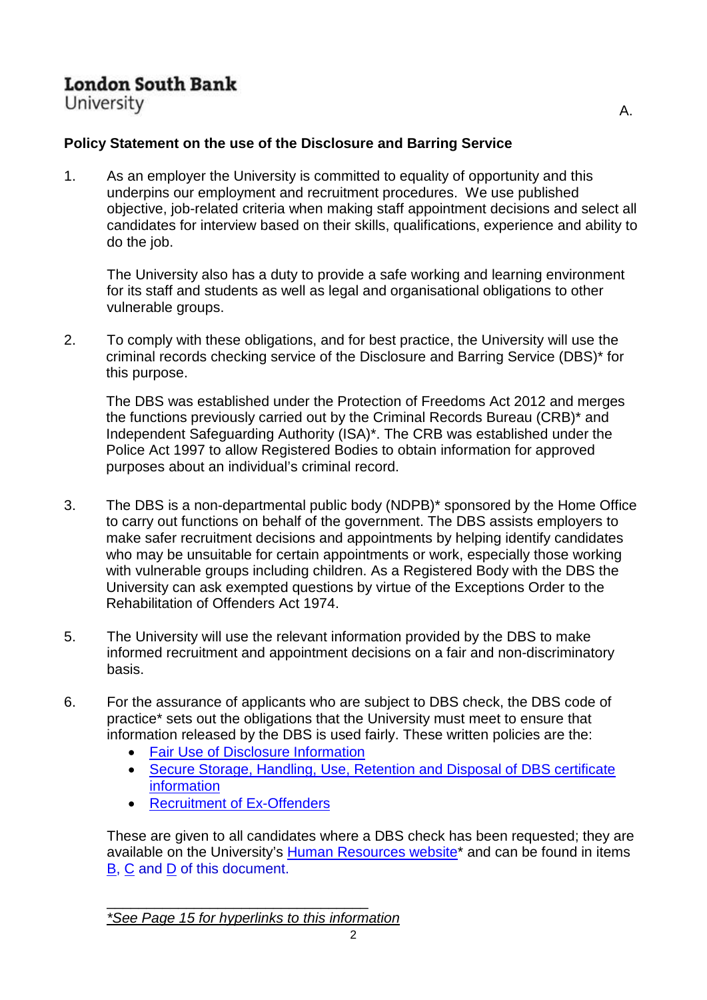University

## <span id="page-1-0"></span>**Policy Statement on the use of the Disclosure and Barring Service**

1. As an employer the University is committed to equality of opportunity and this underpins our employment and recruitment procedures. We use published objective, job-related criteria when making staff appointment decisions and select all candidates for interview based on their skills, qualifications, experience and ability to do the job.

The University also has a duty to provide a safe working and learning environment for its staff and students as well as legal and organisational obligations to other vulnerable groups.

2. To comply with these obligations, and for best practice, the University will use the criminal records checking service of the Disclosure and Barring Service (DBS)\* for this purpose.

The DBS was established under the Protection of Freedoms Act 2012 and merges the functions previously carried out by the Criminal Records Bureau (CRB)\* and Independent Safeguarding Authority (ISA)\*. The CRB was established under the Police Act 1997 to allow Registered Bodies to obtain information for approved purposes about an individual's criminal record.

- 3. The DBS is a non-departmental public body (NDPB)\* sponsored by the Home Office to carry out functions on behalf of the government. The DBS assists employers to make safer recruitment decisions and appointments by helping identify candidates who may be unsuitable for certain appointments or work, especially those working with vulnerable groups including children. As a Registered Body with the DBS the University can ask exempted questions by virtue of the Exceptions Order to the Rehabilitation of Offenders Act 1974.
- 5. The University will use the relevant information provided by the DBS to make informed recruitment and appointment decisions on a fair and non-discriminatory basis.
- 6. For the assurance of applicants who are subject to DBS check, the DBS code of practice\* sets out the obligations that the University must meet to ensure that information released by the DBS is used fairly. These written policies are the:
	- [Fair Use of Disclosure Information](#page-2-0)
	- [Secure Storage, Handling, Use, Retention and Disposal of DBS certificate](#page-7-0)  [information](#page-7-0)
	- [Recruitment of Ex-Offenders](#page-9-0)

These are given to all candidates where a DBS check has been requested; they are available on the University's Human Resources website<sup>\*</sup> and can be found in items [B,](#page-2-0) [C](#page-7-0) and [D](#page-9-0) of this document.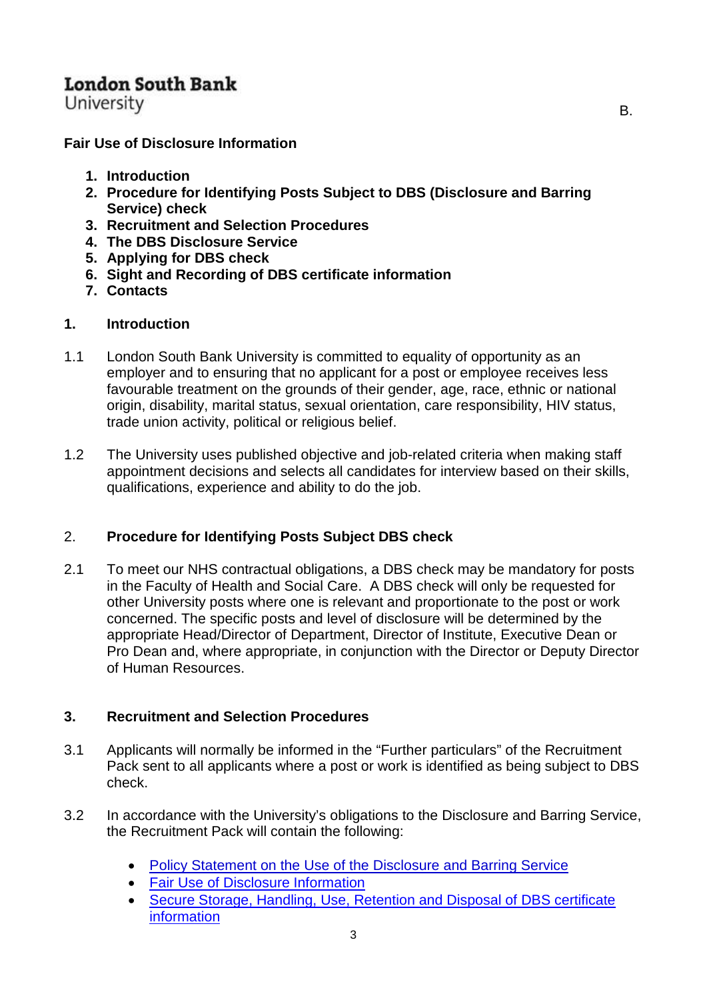University

<span id="page-2-0"></span>**Fair Use of Disclosure Information** 

- **1. Introduction**
- **2. Procedure for Identifying Posts Subject to DBS (Disclosure and Barring Service) check**
- **3. Recruitment and Selection Procedures**
- **4. The DBS Disclosure Service**
- **5. Applying for DBS check**
- **6. Sight and Recording of DBS certificate information**
- **7. Contacts**

#### **1. Introduction**

- 1.1 London South Bank University is committed to equality of opportunity as an employer and to ensuring that no applicant for a post or employee receives less favourable treatment on the grounds of their gender, age, race, ethnic or national origin, disability, marital status, sexual orientation, care responsibility, HIV status, trade union activity, political or religious belief.
- 1.2 The University uses published objective and job-related criteria when making staff appointment decisions and selects all candidates for interview based on their skills, qualifications, experience and ability to do the job.

## 2. **Procedure for Identifying Posts Subject DBS check**

2.1 To meet our NHS contractual obligations, a DBS check may be mandatory for posts in the Faculty of Health and Social Care. A DBS check will only be requested for other University posts where one is relevant and proportionate to the post or work concerned. The specific posts and level of disclosure will be determined by the appropriate Head/Director of Department, Director of Institute, Executive Dean or Pro Dean and, where appropriate, in conjunction with the Director or Deputy Director of Human Resources.

## **3. Recruitment and Selection Procedures**

- 3.1 Applicants will normally be informed in the "Further particulars" of the Recruitment Pack sent to all applicants where a post or work is identified as being subject to DBS check.
- 3.2 In accordance with the University's obligations to the Disclosure and Barring Service, the Recruitment Pack will contain the following:
	- [Policy Statement on the Use of the Disclosure and Barring Service](#page-1-0)
	- [Fair Use of Disclosure Information](#page-2-0)
	- [Secure Storage, Handling, Use, Retention and Disposal of DBS certificate](#page-7-0)  **[information](#page-7-0)**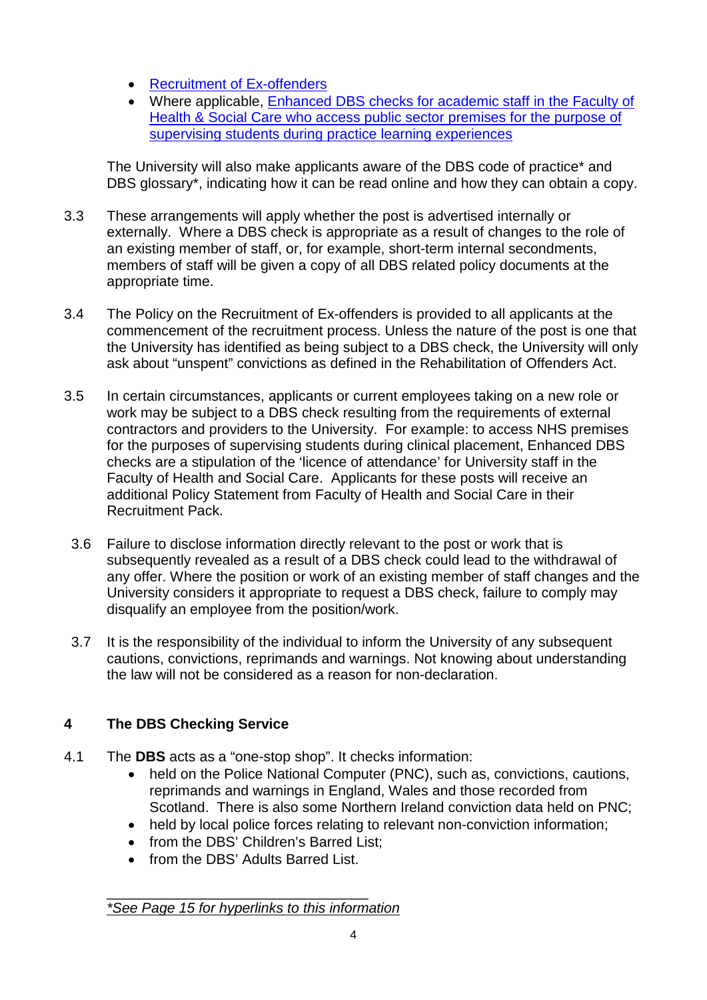- [Recruitment of Ex-offenders](#page-9-0)
- Where applicable, [Enhanced DBS checks for academic staff in the Faculty of](#page-12-0)  [Health & Social Care who access public sector premises for the purpose of](#page-12-0)  [supervising students during practice learning experiences](#page-12-0)

The University will also make applicants aware of the DBS code of practice\* and DBS glossary\*, indicating how it can be read online and how they can obtain a copy.

- 3.3 These arrangements will apply whether the post is advertised internally or externally. Where a DBS check is appropriate as a result of changes to the role of an existing member of staff, or, for example, short-term internal secondments, members of staff will be given a copy of all DBS related policy documents at the appropriate time.
- 3.4 The Policy on the Recruitment of Ex-offenders is provided to all applicants at the commencement of the recruitment process. Unless the nature of the post is one that the University has identified as being subject to a DBS check, the University will only ask about "unspent" convictions as defined in the Rehabilitation of Offenders Act.
- 3.5 In certain circumstances, applicants or current employees taking on a new role or work may be subject to a DBS check resulting from the requirements of external contractors and providers to the University. For example: to access NHS premises for the purposes of supervising students during clinical placement, Enhanced DBS checks are a stipulation of the 'licence of attendance' for University staff in the Faculty of Health and Social Care. Applicants for these posts will receive an additional Policy Statement from Faculty of Health and Social Care in their Recruitment Pack.
	- 3.6 Failure to disclose information directly relevant to the post or work that is subsequently revealed as a result of a DBS check could lead to the withdrawal of any offer. Where the position or work of an existing member of staff changes and the University considers it appropriate to request a DBS check, failure to comply may disqualify an employee from the position/work.
- 3.7 It is the responsibility of the individual to inform the University of any subsequent cautions, convictions, reprimands and warnings. Not knowing about understanding the law will not be considered as a reason for non-declaration.

## **4 The DBS Checking Service**

- 4.1 The **DBS** acts as a "one-stop shop". It checks information:
	- held on the Police National Computer (PNC), such as, convictions, cautions, reprimands and warnings in England, Wales and those recorded from Scotland. There is also some Northern Ireland conviction data held on PNC;
	- held by local police forces relating to relevant non-conviction information;
	- from the DBS' Children's Barred List:
	- from the DBS' Adults Barred List.

\_\_\_\_\_\_\_\_\_\_\_\_\_\_\_\_\_\_\_\_\_\_\_\_\_\_\_\_\_\_\_\_\_ *[\\*See Page 15 for hyperlinks to this information](#page-14-0)*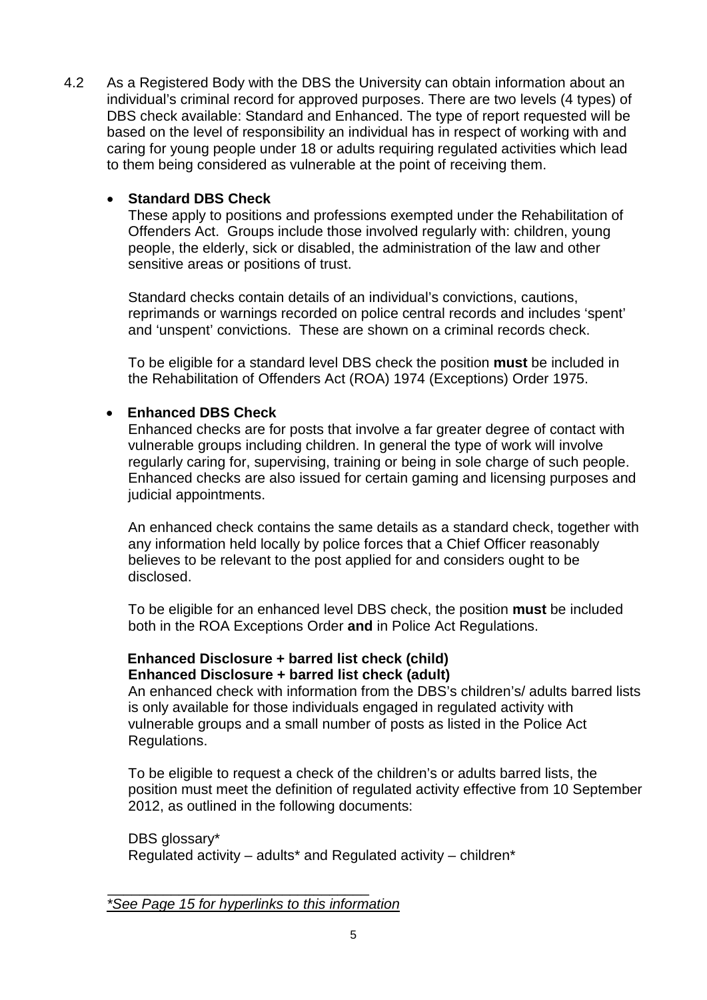4.2 As a Registered Body with the DBS the University can obtain information about an individual's criminal record for approved purposes. There are two levels (4 types) of DBS check available: Standard and Enhanced. The type of report requested will be based on the level of responsibility an individual has in respect of working with and caring for young people under 18 or adults requiring regulated activities which lead to them being considered as vulnerable at the point of receiving them.

#### • **Standard DBS Check**

These apply to positions and professions exempted under the Rehabilitation of Offenders Act. Groups include those involved regularly with: children, young people, the elderly, sick or disabled, the administration of the law and other sensitive areas or positions of trust.

Standard checks contain details of an individual's convictions, cautions, reprimands or warnings recorded on police central records and includes 'spent' and 'unspent' convictions. These are shown on a criminal records check.

To be eligible for a standard level DBS check the position **must** be included in the Rehabilitation of Offenders Act (ROA) 1974 (Exceptions) Order 1975.

### • **Enhanced DBS Check**

Enhanced checks are for posts that involve a far greater degree of contact with vulnerable groups including children. In general the type of work will involve regularly caring for, supervising, training or being in sole charge of such people. Enhanced checks are also issued for certain gaming and licensing purposes and judicial appointments.

An enhanced check contains the same details as a standard check, together with any information held locally by police forces that a Chief Officer reasonably believes to be relevant to the post applied for and considers ought to be disclosed.

To be eligible for an enhanced level DBS check, the position **must** be included both in the ROA Exceptions Order **and** in Police Act Regulations.

#### **Enhanced Disclosure + barred list check (child) Enhanced Disclosure + barred list check (adult)**

An enhanced check with information from the DBS's children's/ adults barred lists is only available for those individuals engaged in regulated activity with vulnerable groups and a small number of posts as listed in the Police Act Regulations.

To be eligible to request a check of the children's or adults barred lists, the position must meet the definition of regulated activity effective from 10 September 2012, as outlined in the following documents:

DBS glossary\* Regulated activity – adults\* and Regulated activity – children\*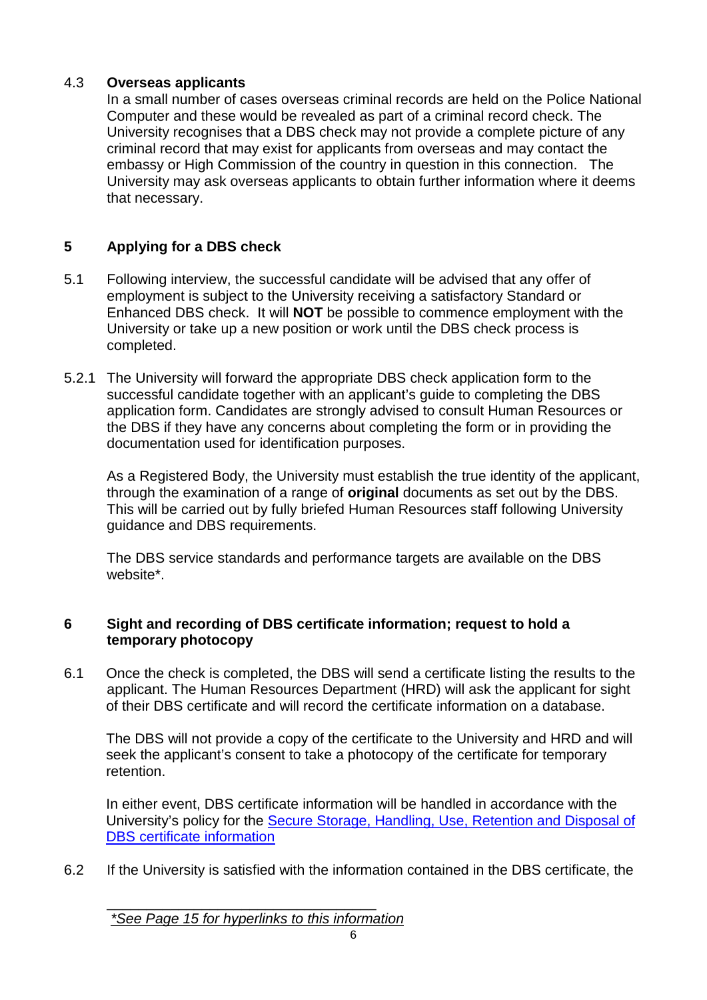#### 4.3 **Overseas applicants**

In a small number of cases overseas criminal records are held on the Police National Computer and these would be revealed as part of a criminal record check. The University recognises that a DBS check may not provide a complete picture of any criminal record that may exist for applicants from overseas and may contact the embassy or High Commission of the country in question in this connection. The University may ask overseas applicants to obtain further information where it deems that necessary.

## **5 Applying for a DBS check**

- 5.1 Following interview, the successful candidate will be advised that any offer of employment is subject to the University receiving a satisfactory Standard or Enhanced DBS check. It will **NOT** be possible to commence employment with the University or take up a new position or work until the DBS check process is completed.
- 5.2.1 The University will forward the appropriate DBS check application form to the successful candidate together with an applicant's guide to completing the DBS application form. Candidates are strongly advised to consult Human Resources or the DBS if they have any concerns about completing the form or in providing the documentation used for identification purposes.

As a Registered Body, the University must establish the true identity of the applicant, through the examination of a range of **original** documents as set out by the DBS. This will be carried out by fully briefed Human Resources staff following University guidance and DBS requirements.

The DBS service standards and performance targets are available on the DBS website\*.

### **6 Sight and recording of DBS certificate information; request to hold a temporary photocopy**

6.1 Once the check is completed, the DBS will send a certificate listing the results to the applicant. The Human Resources Department (HRD) will ask the applicant for sight of their DBS certificate and will record the certificate information on a database.

The DBS will not provide a copy of the certificate to the University and HRD and will seek the applicant's consent to take a photocopy of the certificate for temporary retention.

In either event, DBS certificate information will be handled in accordance with the University's policy for the [Secure Storage, Handling, Use, Retention and Disposal of](#page-7-0)  [DBS certificate information](#page-7-0)

6.2 If the University is satisfied with the information contained in the DBS certificate, the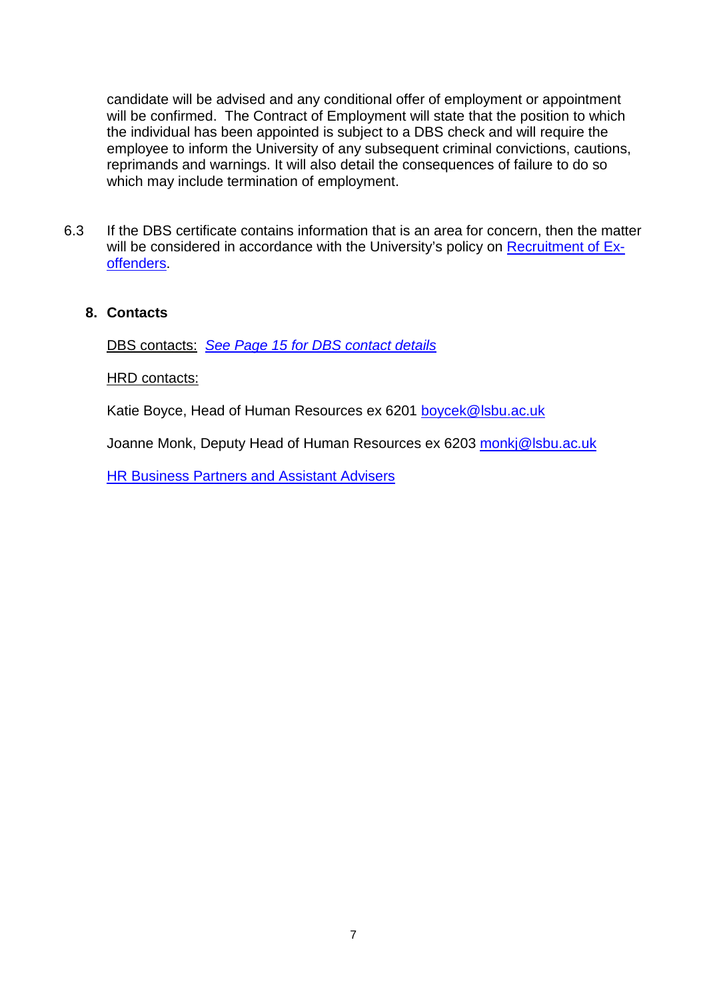candidate will be advised and any conditional offer of employment or appointment will be confirmed. The Contract of Employment will state that the position to which the individual has been appointed is subject to a DBS check and will require the employee to inform the University of any subsequent criminal convictions, cautions, reprimands and warnings. It will also detail the consequences of failure to do so which may include termination of employment.

6.3 If the DBS certificate contains information that is an area for concern, then the matter will be considered in accordance with the University's policy on [Recruitment of Ex](#page-9-0)[offenders.](#page-9-0)

#### **8. Contacts**

DBS contacts:*[See Page 15 for DBS contact details](#page-14-0)*

HRD contacts:

Katie Boyce, Head of Human Resources ex 6201 [boycek@lsbu.ac.uk](mailto:boycek@lsbu.ac.uk)

Joanne Monk, Deputy Head of Human Resources ex 6203 [monkj@lsbu.ac.uk](mailto:monkj@lsbu.ac.uk)

[HR Business Partners and Assistant Advisers](http://www1.lsbu.ac.uk/hr/docs/hr_advisers.doc)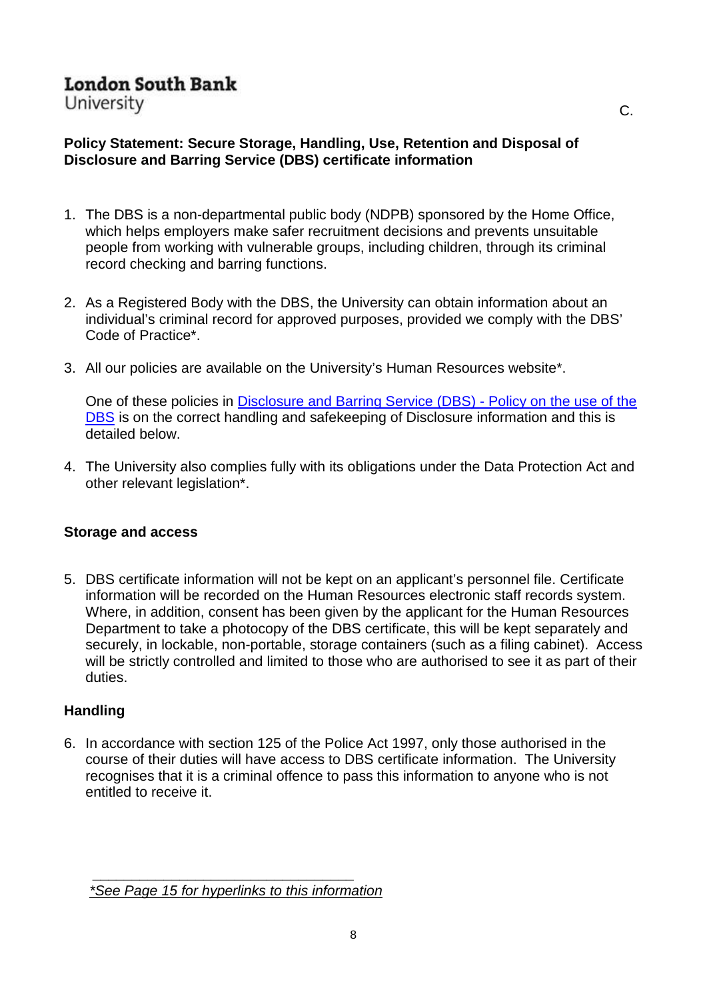<span id="page-7-0"></span>University

## **Policy Statement: Secure Storage, Handling, Use, Retention and Disposal of Disclosure and Barring Service (DBS) certificate information**

- 1. The DBS is a non-departmental public body (NDPB) sponsored by the Home Office, which helps employers make safer recruitment decisions and prevents unsuitable people from working with vulnerable groups, including children, through its criminal record checking and barring functions.
- 2. As a Registered Body with the DBS, the University can obtain information about an individual's criminal record for approved purposes, provided we comply with the DBS' Code of Practice\*.
- 3. All our policies are available on the University's Human Resources website\*.

One of these policies in [Disclosure and Barring Service \(DBS\) -](https://www.lsbu.ac.uk/staff/matters/documentation/crb_disclosure_policy.doc) Policy on the use of the [DBS](https://www.lsbu.ac.uk/staff/matters/documentation/crb_disclosure_policy.doc) is on the correct handling and safekeeping of Disclosure information and this is detailed below.

4. The University also complies fully with its obligations under the Data Protection Act and other relevant legislation\*.

## **Storage and access**

5. DBS certificate information will not be kept on an applicant's personnel file. Certificate information will be recorded on the Human Resources electronic staff records system. Where, in addition, consent has been given by the applicant for the Human Resources Department to take a photocopy of the DBS certificate, this will be kept separately and securely, in lockable, non-portable, storage containers (such as a filing cabinet). Access will be strictly controlled and limited to those who are authorised to see it as part of their duties.

#### **Handling**

6. In accordance with section 125 of the Police Act 1997, only those authorised in the course of their duties will have access to DBS certificate information. The University recognises that it is a criminal offence to pass this information to anyone who is not entitled to receive it.

C.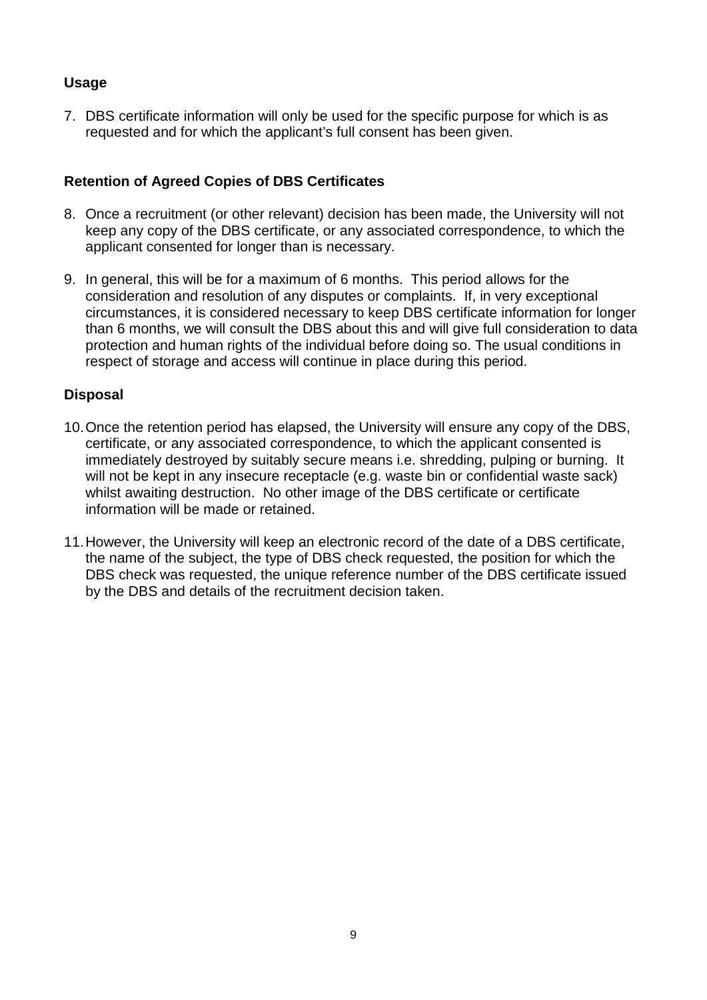## **Usage**

7. DBS certificate information will only be used for the specific purpose for which is as requested and for which the applicant's full consent has been given.

### **Retention of Agreed Copies of DBS Certificates**

- 8. Once a recruitment (or other relevant) decision has been made, the University will not keep any copy of the DBS certificate, or any associated correspondence, to which the applicant consented for longer than is necessary.
- 9. In general, this will be for a maximum of 6 months. This period allows for the consideration and resolution of any disputes or complaints. If, in very exceptional circumstances, it is considered necessary to keep DBS certificate information for longer than 6 months, we will consult the DBS about this and will give full consideration to data protection and human rights of the individual before doing so. The usual conditions in respect of storage and access will continue in place during this period.

#### **Disposal**

- 10.Once the retention period has elapsed, the University will ensure any copy of the DBS, certificate, or any associated correspondence, to which the applicant consented is immediately destroyed by suitably secure means i.e. shredding, pulping or burning. It will not be kept in any insecure receptacle (e.g. waste bin or confidential waste sack) whilst awaiting destruction. No other image of the DBS certificate or certificate information will be made or retained.
- 11.However, the University will keep an electronic record of the date of a DBS certificate, the name of the subject, the type of DBS check requested, the position for which the DBS check was requested, the unique reference number of the DBS certificate issued by the DBS and details of the recruitment decision taken.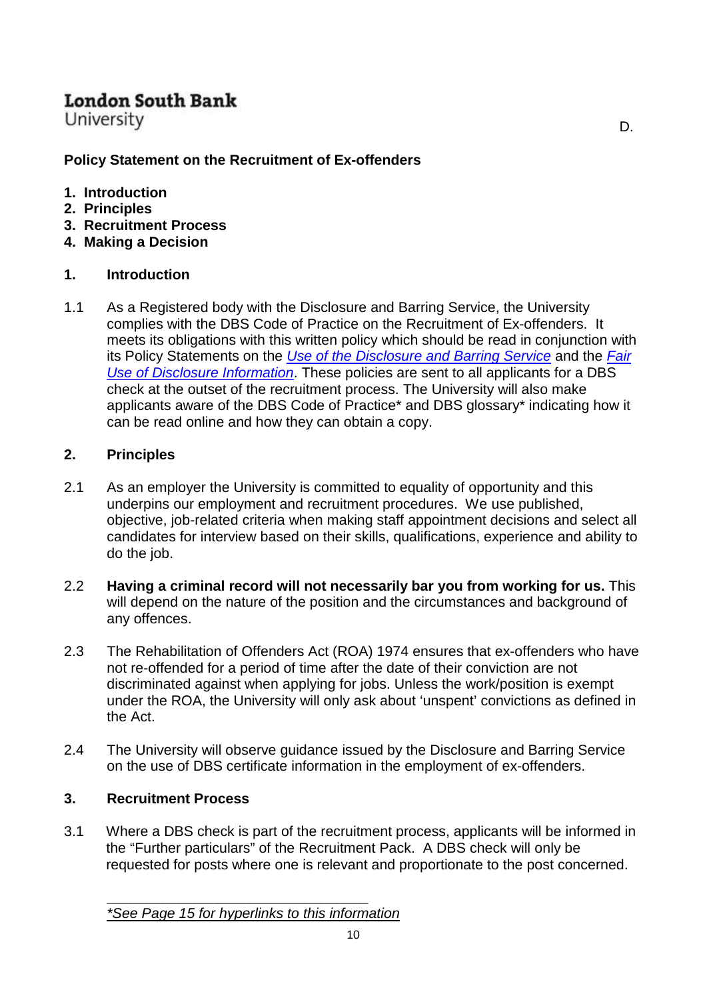<span id="page-9-0"></span>University

## **Policy Statement on the Recruitment of Ex-offenders**

- **1. Introduction**
- **2. Principles**
- **3. Recruitment Process**
- **4. Making a Decision**

## **1. Introduction**

1.1 As a Registered body with the Disclosure and Barring Service, the University complies with the DBS Code of Practice on the Recruitment of Ex-offenders. It meets its obligations with this written policy which should be read in conjunction with its Policy Statements on the *[Use of the Disclosure and Barring Service](#page-1-0)* and the *[Fair](#page-2-0)  [Use of Disclosure Information](#page-2-0)*. These policies are sent to all applicants for a DBS check at the outset of the recruitment process. The University will also make applicants aware of the DBS Code of Practice\* and DBS glossary\* indicating how it can be read online and how they can obtain a copy.

D.

### **2. Principles**

- 2.1 As an employer the University is committed to equality of opportunity and this underpins our employment and recruitment procedures. We use published, objective, job-related criteria when making staff appointment decisions and select all candidates for interview based on their skills, qualifications, experience and ability to do the job.
- 2.2 **Having a criminal record will not necessarily bar you from working for us.** This will depend on the nature of the position and the circumstances and background of any offences.
- 2.3 The Rehabilitation of Offenders Act (ROA) 1974 ensures that ex-offenders who have not re-offended for a period of time after the date of their conviction are not discriminated against when applying for jobs. Unless the work/position is exempt under the ROA, the University will only ask about 'unspent' convictions as defined in the Act.
- 2.4 The University will observe guidance issued by the Disclosure and Barring Service on the use of DBS certificate information in the employment of ex-offenders.

## **3. Recruitment Process**

3.1 Where a DBS check is part of the recruitment process, applicants will be informed in the "Further particulars" of the Recruitment Pack. A DBS check will only be requested for posts where one is relevant and proportionate to the post concerned.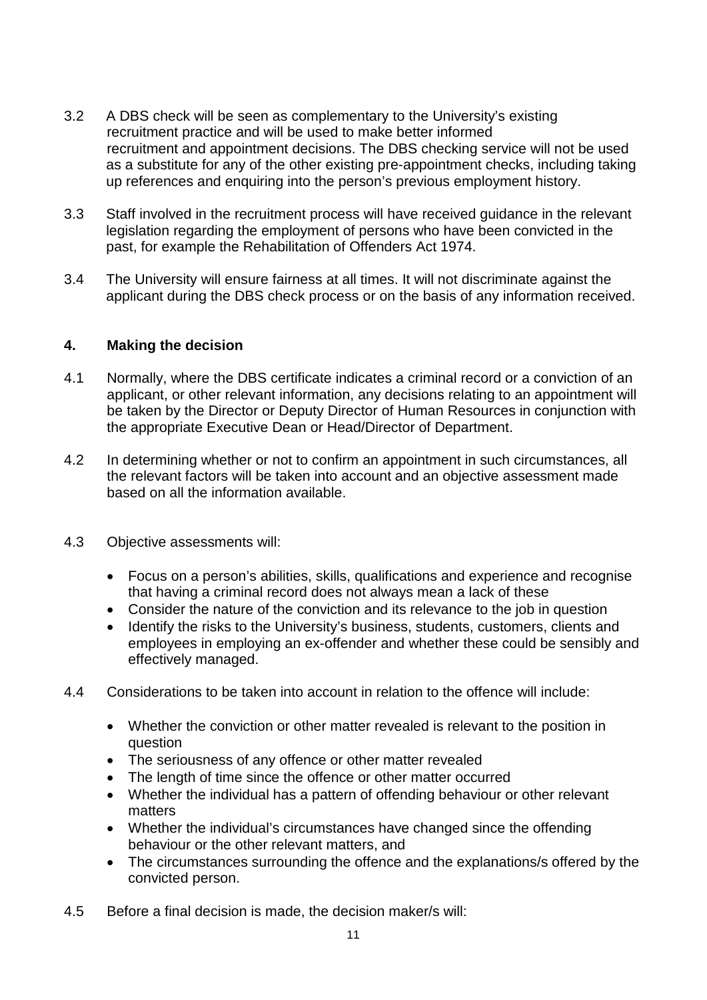- 3.2 A DBS check will be seen as complementary to the University's existing recruitment practice and will be used to make better informed recruitment and appointment decisions. The DBS checking service will not be used as a substitute for any of the other existing pre-appointment checks, including taking up references and enquiring into the person's previous employment history.
- 3.3 Staff involved in the recruitment process will have received guidance in the relevant legislation regarding the employment of persons who have been convicted in the past, for example the Rehabilitation of Offenders Act 1974.
- 3.4 The University will ensure fairness at all times. It will not discriminate against the applicant during the DBS check process or on the basis of any information received.

#### **4. Making the decision**

- 4.1 Normally, where the DBS certificate indicates a criminal record or a conviction of an applicant, or other relevant information, any decisions relating to an appointment will be taken by the Director or Deputy Director of Human Resources in conjunction with the appropriate Executive Dean or Head/Director of Department.
- 4.2 In determining whether or not to confirm an appointment in such circumstances, all the relevant factors will be taken into account and an objective assessment made based on all the information available.
- 4.3 Objective assessments will:
	- Focus on a person's abilities, skills, qualifications and experience and recognise that having a criminal record does not always mean a lack of these
	- Consider the nature of the conviction and its relevance to the job in question
	- Identify the risks to the University's business, students, customers, clients and employees in employing an ex-offender and whether these could be sensibly and effectively managed.
- 4.4 Considerations to be taken into account in relation to the offence will include:
	- Whether the conviction or other matter revealed is relevant to the position in question
	- The seriousness of any offence or other matter revealed
	- The length of time since the offence or other matter occurred
	- Whether the individual has a pattern of offending behaviour or other relevant matters
	- Whether the individual's circumstances have changed since the offending behaviour or the other relevant matters, and
	- The circumstances surrounding the offence and the explanations/s offered by the convicted person.
- 4.5 Before a final decision is made, the decision maker/s will: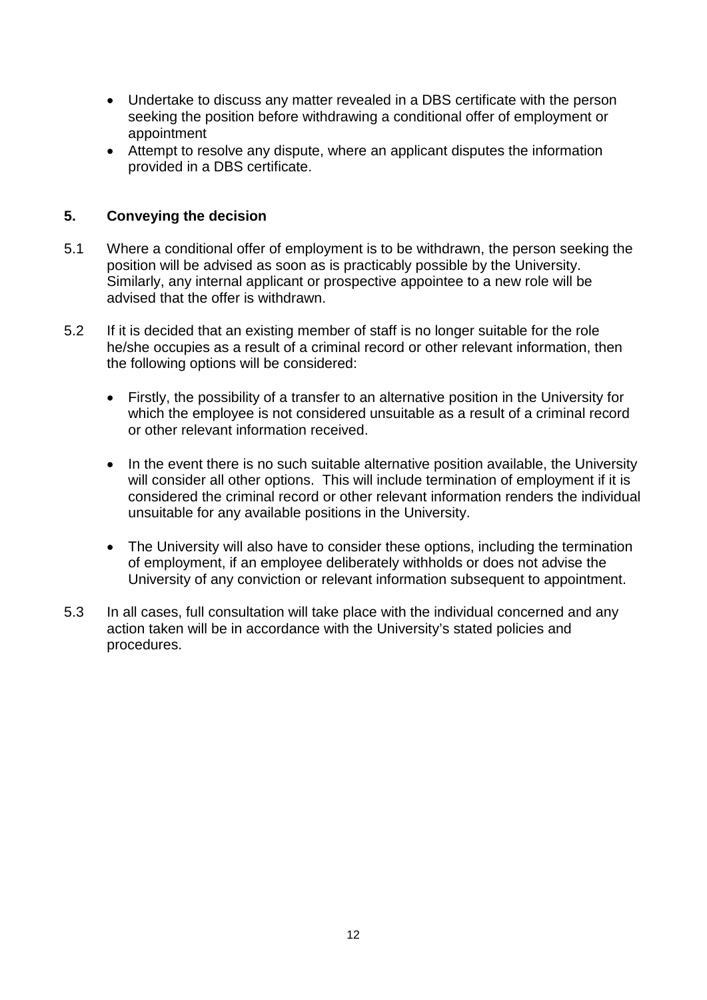- Undertake to discuss any matter revealed in a DBS certificate with the person seeking the position before withdrawing a conditional offer of employment or appointment
- Attempt to resolve any dispute, where an applicant disputes the information provided in a DBS certificate.

#### **5. Conveying the decision**

- 5.1 Where a conditional offer of employment is to be withdrawn, the person seeking the position will be advised as soon as is practicably possible by the University. Similarly, any internal applicant or prospective appointee to a new role will be advised that the offer is withdrawn.
- 5.2 If it is decided that an existing member of staff is no longer suitable for the role he/she occupies as a result of a criminal record or other relevant information, then the following options will be considered:
	- Firstly, the possibility of a transfer to an alternative position in the University for which the employee is not considered unsuitable as a result of a criminal record or other relevant information received.
	- In the event there is no such suitable alternative position available, the University will consider all other options. This will include termination of employment if it is considered the criminal record or other relevant information renders the individual unsuitable for any available positions in the University.
	- The University will also have to consider these options, including the termination of employment, if an employee deliberately withholds or does not advise the University of any conviction or relevant information subsequent to appointment.
- 5.3 In all cases, full consultation will take place with the individual concerned and any action taken will be in accordance with the University's stated policies and procedures.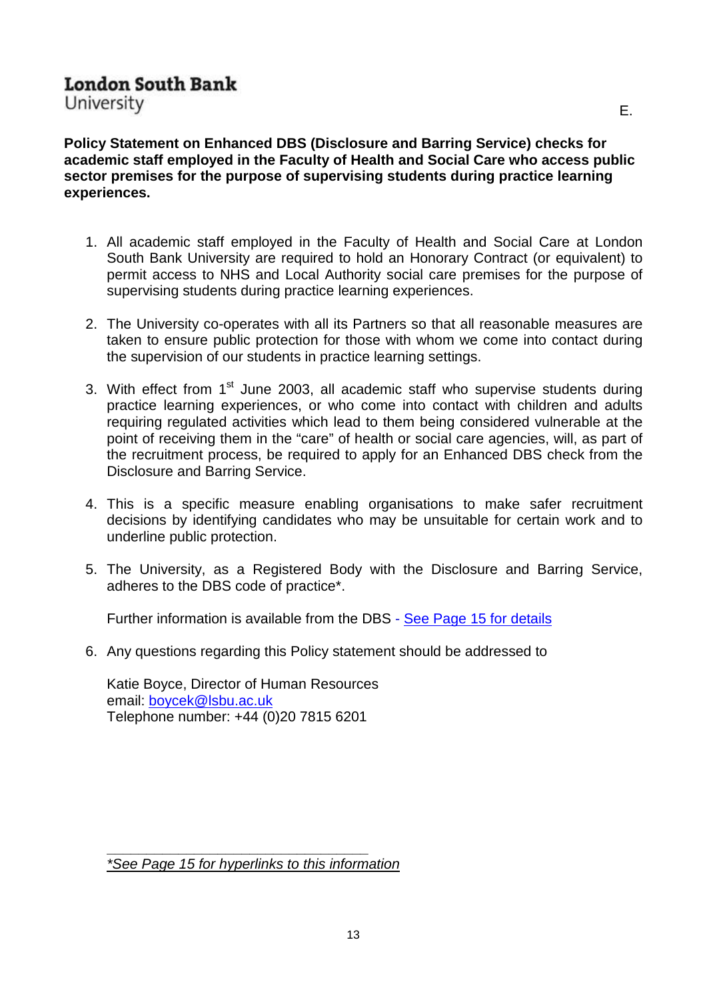<span id="page-12-0"></span>University

**Policy Statement on Enhanced DBS (Disclosure and Barring Service) checks for academic staff employed in the Faculty of Health and Social Care who access public sector premises for the purpose of supervising students during practice learning experiences.**

- 1. All academic staff employed in the Faculty of Health and Social Care at London South Bank University are required to hold an Honorary Contract (or equivalent) to permit access to NHS and Local Authority social care premises for the purpose of supervising students during practice learning experiences.
- 2. The University co-operates with all its Partners so that all reasonable measures are taken to ensure public protection for those with whom we come into contact during the supervision of our students in practice learning settings.
- 3. With effect from  $1<sup>st</sup>$  June 2003, all academic staff who supervise students during practice learning experiences, or who come into contact with children and adults requiring regulated activities which lead to them being considered vulnerable at the point of receiving them in the "care" of health or social care agencies, will, as part of the recruitment process, be required to apply for an Enhanced DBS check from the Disclosure and Barring Service.
- 4. This is a specific measure enabling organisations to make safer recruitment decisions by identifying candidates who may be unsuitable for certain work and to underline public protection.
- 5. The University, as a Registered Body with the Disclosure and Barring Service, adheres to the DBS code of practice\*.

Further information is available from the DBS - [See Page 15 for details](#page-14-0)

6. Any questions regarding this Policy statement should be addressed to

Katie Boyce, Director of Human Resources email: [boycek@lsbu.ac.uk](mailto:boycek@lsbu.ac.uk) Telephone number: +44 (0)20 7815 6201

**\_\_\_\_\_\_\_\_\_\_\_\_\_\_\_\_\_\_\_\_\_\_\_\_\_\_\_\_\_\_\_\_\_** *[\\*See Page 15 for hyperlinks to this information](#page-14-0)*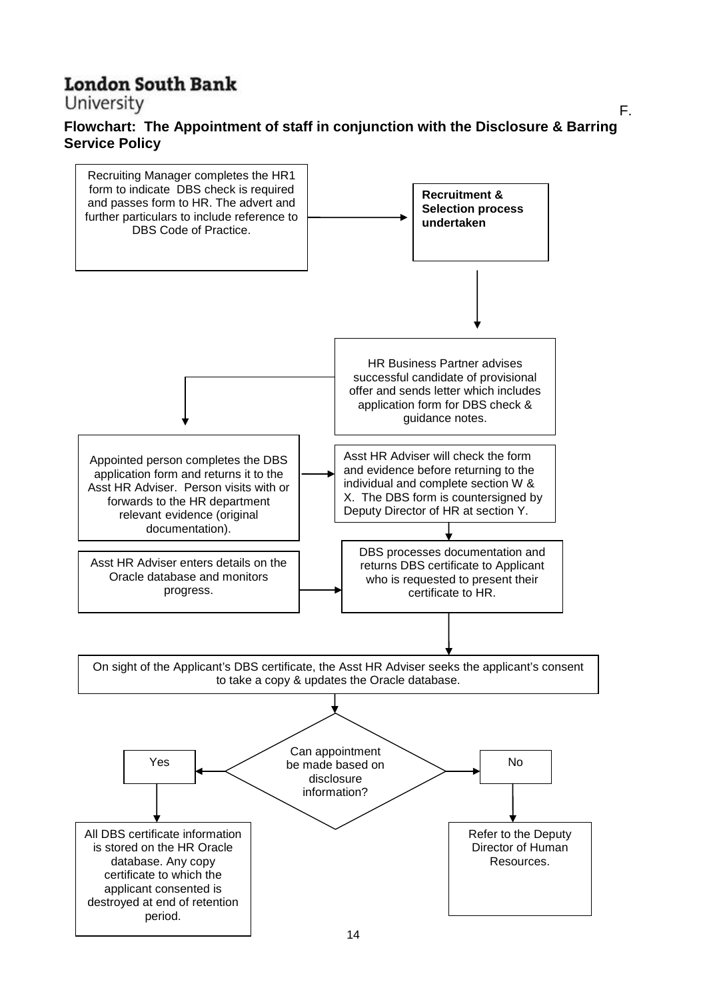<span id="page-13-0"></span>University

#### **Flowchart: The Appointment of staff in conjunction with the Disclosure & Barring Service Policy**